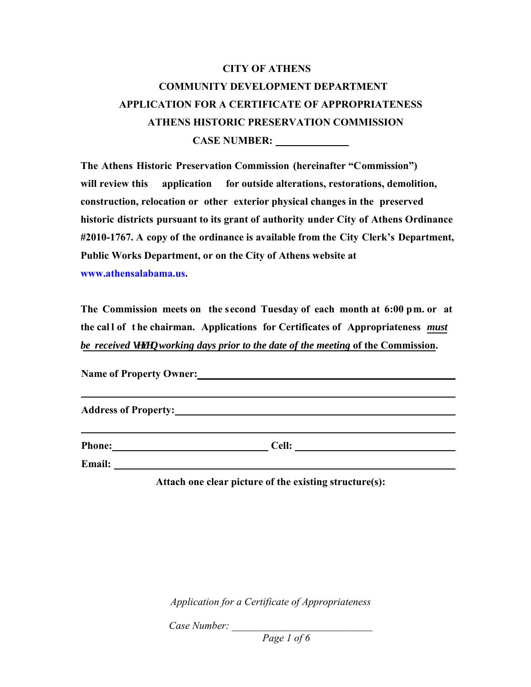## **CITY OF ATHENS COMMUNITY DEVELOPMENT DEPARTMENT APPLICATION FOR A CERTIFICATE OF APPROPRIATENESS ATHENS HISTORIC PRESERVATION COMMISSION CASE NUMBER:**

**The Athens Historic Preservation Commission (hereinafter "Commission") will review this application for outside alterations, restorations, demolition, construction, relocation or other exterior physical changes in the preserved historic districts pursuant to its grant of authority under City of Athens Ordinance #2010-1767. A copy of the ordinance is available from the City Clerk's Department, Public Works Department, or on the City of Athens website at [www.athensal](www.athensalabama.us)abama.us.**

**The Commission meets on the second Tuesday of each month at 6:00 pm. or at the cal l of t he chairman. Applications for Certificates of Appropriateness** *must be received ugxgp working days prior to the date of the meeting* of the Commission.

**Name of Property Owner: Address of Property:**

**Phone: Cell: Cell: Cell: Cell: Cell: Cell: Cell: Cell: Cell: Cell: Cell: Cell: Cell: Cell: Cell: Cell: Cell: Cell: Cell: Cell: Cell: Cell: Cell: Cell: Cell: CELL: CELL** 

**Email:** 

**Attach one clear picture of the existing structure(s):**

*Application for a Certificate of Appropriateness* 

*Case Number: \_\_\_\_\_\_\_\_\_\_\_\_\_\_\_\_\_\_\_\_\_\_\_\_\_\_\_* 

*Page 1 of 6*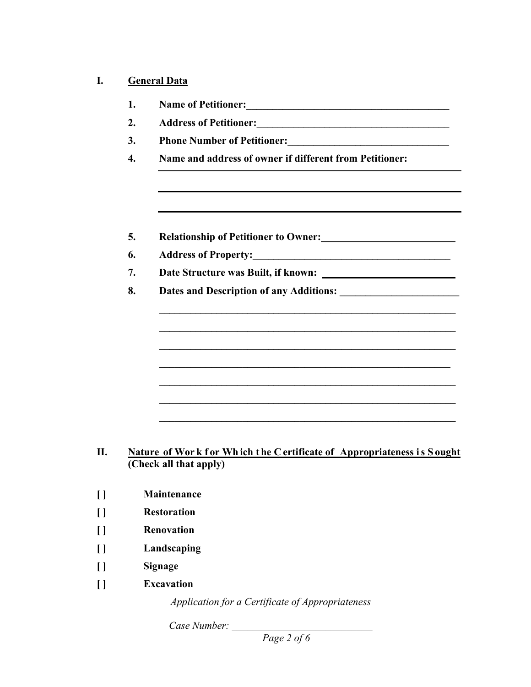## **I. General Data**

| 1.               |                                                                                                                                                                                                                                       |
|------------------|---------------------------------------------------------------------------------------------------------------------------------------------------------------------------------------------------------------------------------------|
| 2.               |                                                                                                                                                                                                                                       |
| 3.               |                                                                                                                                                                                                                                       |
| $\overline{4}$ . | Name and address of owner if different from Petitioner:                                                                                                                                                                               |
|                  |                                                                                                                                                                                                                                       |
| 5.               | Relationship of Petitioner to Owner:<br><u>Letter and the set of performance</u> of the set of the set of the set of the set of the set of the set of the set of the set of the set of the set of the set of the set of the set of th |
| 6.               |                                                                                                                                                                                                                                       |
| 7.               |                                                                                                                                                                                                                                       |
| 8.               |                                                                                                                                                                                                                                       |
|                  |                                                                                                                                                                                                                                       |
|                  |                                                                                                                                                                                                                                       |
|                  |                                                                                                                                                                                                                                       |
|                  |                                                                                                                                                                                                                                       |
|                  |                                                                                                                                                                                                                                       |
|                  |                                                                                                                                                                                                                                       |
|                  |                                                                                                                                                                                                                                       |
|                  |                                                                                                                                                                                                                                       |
|                  |                                                                                                                                                                                                                                       |
|                  | Nature of Work for Which the Certificate of Appropriateness is Sought<br>(Check all that apply)                                                                                                                                       |
|                  |                                                                                                                                                                                                                                       |
|                  | Maintenance                                                                                                                                                                                                                           |
|                  | $\mathbf{r}$ $\mathbf{r}$ $\mathbf{r}$ $\mathbf{r}$ $\mathbf{r}$                                                                                                                                                                      |

- **[ ] Restoration**
- **[ ] Renovation**
- **[ ] Landscaping**
- **[ ] Signage**

**[ ] Maintenance**

**[ ] Excavation** 

*Application for a Certificate of Appropriateness* 

*Case Number: \_\_\_\_\_\_\_\_\_\_\_\_\_\_\_\_\_\_\_\_\_\_\_\_\_\_\_* 

 *Page 2 of 6*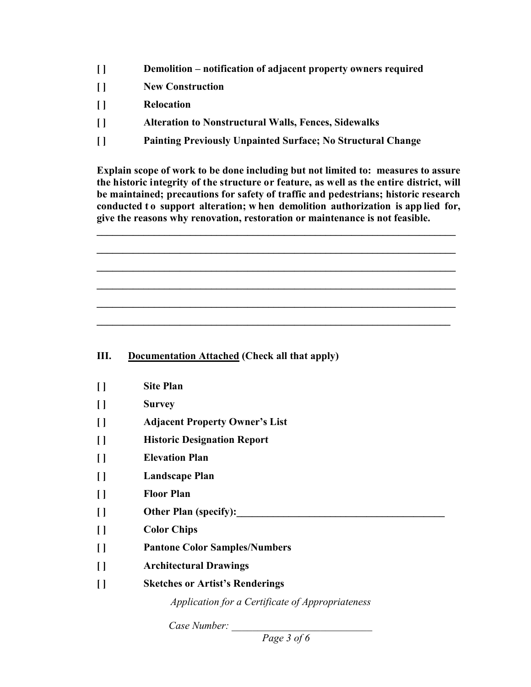- **[ ] Demolition notification of adjacent property owners required**
- **[ ] New Construction**
- **[ ] Relocation**
- **[ ] Alteration to Nonstructural Walls, Fences, Sidewalks**
- **[ ] Painting Previously Unpainted Surface; No Structural Change**

**Explain scope of work to be done including but not limited to: measures to assure the historic integrity of the structure or feature, as well as the entire district, will be maintained; precautions for safety of traffic and pedestrians; historic research conducted t o support alteration; w hen demolition authorization is app lied for, give the reasons why renovation, restoration or maintenance is not feasible.** 

**\_\_\_\_\_\_\_\_\_\_\_\_\_\_\_\_\_\_\_\_\_\_\_\_\_\_\_\_\_\_\_\_\_\_\_\_\_\_\_\_\_\_\_\_\_\_\_\_\_\_\_\_\_\_\_\_\_\_\_\_\_\_\_\_\_\_\_\_\_**

**\_\_\_\_\_\_\_\_\_\_\_\_\_\_\_\_\_\_\_\_\_\_\_\_\_\_\_\_\_\_\_\_\_\_\_\_\_\_\_\_\_\_\_\_\_\_\_\_\_\_\_\_\_\_\_\_\_\_\_\_\_\_\_\_\_\_\_\_\_**

**\_\_\_\_\_\_\_\_\_\_\_\_\_\_\_\_\_\_\_\_\_\_\_\_\_\_\_\_\_\_\_\_\_\_\_\_\_\_\_\_\_\_\_\_\_\_\_\_\_\_\_\_\_\_\_\_\_\_\_\_\_\_\_\_\_\_\_\_\_**

**\_\_\_\_\_\_\_\_\_\_\_\_\_\_\_\_\_\_\_\_\_\_\_\_\_\_\_\_\_\_\_\_\_\_\_\_\_\_\_\_\_\_\_\_\_\_\_\_\_\_\_\_\_\_\_\_\_\_\_\_\_\_\_\_\_\_\_\_\_**

**\_\_\_\_\_\_\_\_\_\_\_\_\_\_\_\_\_\_\_\_\_\_\_\_\_\_\_\_\_\_\_\_\_\_\_\_\_\_\_\_\_\_\_\_\_\_\_\_\_\_\_\_\_\_\_\_\_\_\_\_\_\_\_\_\_\_\_\_\_**

**\_\_\_\_\_\_\_\_\_\_\_\_\_\_\_\_\_\_\_\_\_\_\_\_\_\_\_\_\_\_\_\_\_\_\_\_\_\_\_\_\_\_\_\_\_\_\_\_\_\_\_\_\_\_\_\_\_\_\_\_\_\_\_\_\_\_\_\_** 

## **III. Documentation Attached (Check all that apply)**

| $\prod$ | <b>Site Plan</b>                                 |
|---------|--------------------------------------------------|
| $\prod$ | <b>Survey</b>                                    |
| $\prod$ | <b>Adjacent Property Owner's List</b>            |
| $\prod$ | <b>Historic Designation Report</b>               |
| $\prod$ | <b>Elevation Plan</b>                            |
| $\prod$ | <b>Landscape Plan</b>                            |
| $\prod$ | <b>Floor Plan</b>                                |
| $\prod$ | <b>Other Plan (specify):</b>                     |
| $\prod$ | <b>Color Chips</b>                               |
| $\prod$ | <b>Pantone Color Samples/Numbers</b>             |
| $\prod$ | <b>Architectural Drawings</b>                    |
| $\Box$  | <b>Sketches or Artist's Renderings</b>           |
|         | Application for a Certificate of Appropriateness |

*Case Number: \_\_\_\_\_\_\_\_\_\_\_\_\_\_\_\_\_\_\_\_\_\_\_\_\_\_\_* 

*Page 3 of 6*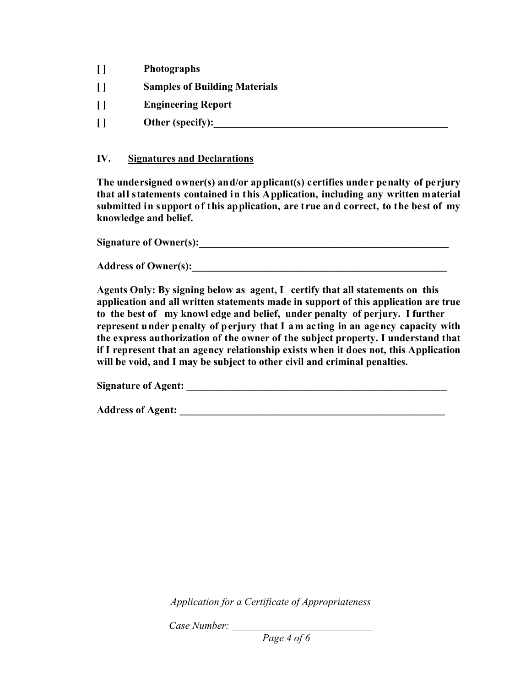- **[ ] Photographs**
- **[ ] Samples of Building Materials**
- **[ ] Engineering Report**
- **[ ] Other (specify):\_\_\_\_\_\_\_\_\_\_\_\_\_\_\_\_\_\_\_\_\_\_\_\_\_\_\_\_\_\_\_\_\_\_\_\_\_\_\_\_\_\_\_\_\_**

## **IV. Signatures and Declarations**

**The undersigned owner(s) and/or applicant(s) certifies under penalty of perjury that all statements contained in this Application, including any written material submitted in support of this application, are true and correct, to the best of my knowledge and belief.**

Signature of Owner(s):

Address of Owner(s):

**Agents Only: By signing below as agent, I certify that all statements on this application and all written statements made in support of this application are true to the best of my knowl edge and belief, under penalty of perjury. I further represent under penalty of perjury that I am acting in an agency capacity with the express authorization of the owner of the subject property. I understand that if I represent that an agency relationship exists when it does not, this Application will be void, and I may be subject to other civil and criminal penalties.** 

**Signature of Agent: \_\_\_\_\_\_\_\_\_\_\_\_\_\_\_\_\_\_\_\_\_\_\_\_\_\_\_\_\_\_\_\_\_\_\_\_\_\_\_\_\_\_\_\_\_\_\_\_\_\_** 

Address of Agent:

*Application for a Certificate of Appropriateness* 

*Case Number: \_\_\_\_\_\_\_\_\_\_\_\_\_\_\_\_\_\_\_\_\_\_\_\_\_\_\_* 

*Page 4 of 6*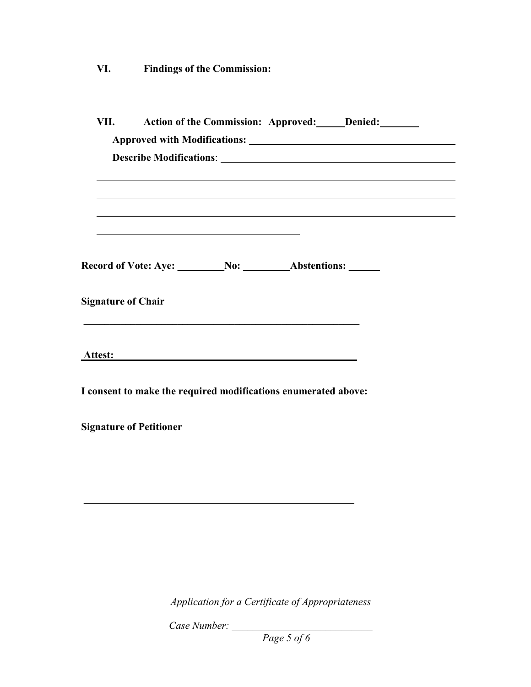**VI. Findings of the Commission:**

| VII.                           | Action of the Commission: Approved: Denied:                    |  |  |  |  |  |
|--------------------------------|----------------------------------------------------------------|--|--|--|--|--|
|                                |                                                                |  |  |  |  |  |
|                                |                                                                |  |  |  |  |  |
|                                |                                                                |  |  |  |  |  |
|                                |                                                                |  |  |  |  |  |
|                                |                                                                |  |  |  |  |  |
| <b>Signature of Chair</b>      |                                                                |  |  |  |  |  |
|                                | Attes <u>t: Equation of the Secretary Contractor</u>           |  |  |  |  |  |
|                                | I consent to make the required modifications enumerated above: |  |  |  |  |  |
| <b>Signature of Petitioner</b> |                                                                |  |  |  |  |  |
|                                |                                                                |  |  |  |  |  |
|                                |                                                                |  |  |  |  |  |
|                                |                                                                |  |  |  |  |  |

*Application for a Certificate of Appropriateness* 

*Case Number: \_\_\_\_\_\_\_\_\_\_\_\_\_\_\_\_\_\_\_\_\_\_\_\_\_\_\_* 

*Page 5 of 6*